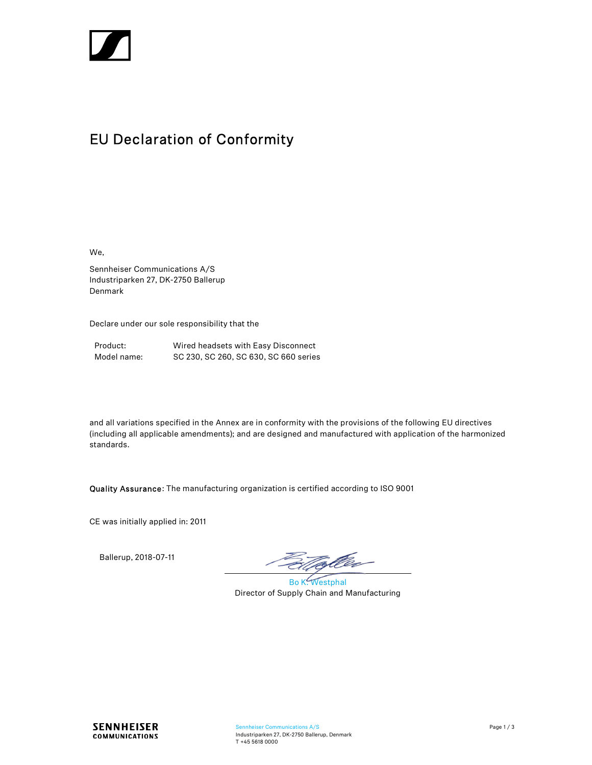

# EU Declaration of Conformity

We,

Sennheiser Communications A/S Industriparken 27, DK-2750 Ballerup Denmark

Declare under our sole responsibility that the

| Product:    | Wired headsets with Easy Disconnect   |
|-------------|---------------------------------------|
| Model name: | SC 230, SC 260, SC 630, SC 660 series |

and all variations specified in the Annex are in conformity with the provisions of the following EU directives (including all applicable amendments); and are designed and manufactured with application of the harmonized standards.

Quality Assurance: The manufacturing organization is certified according to ISO 9001

CE was initially applied in: 2011

Ballerup, 2018-07-11

tofler-

Bo K. Westphal Director of Supply Chain and Manufacturing

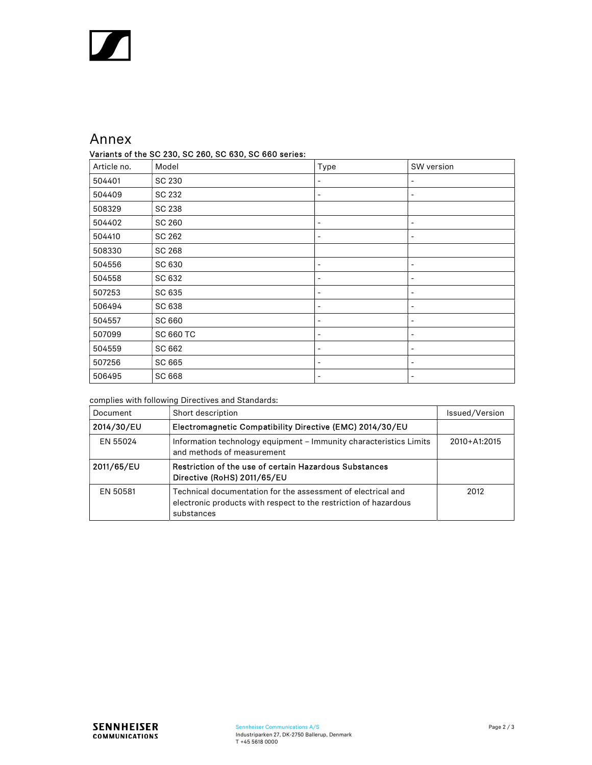## Annex

### Variants of the SC 230, SC 260, SC 630, SC 660 series:

| Article no. | . . <b>, ,</b> ,<br>Model | Type                     | SW version                   |
|-------------|---------------------------|--------------------------|------------------------------|
| 504401      | SC 230                    | $\overline{\phantom{a}}$ | -                            |
| 504409      | SC 232                    | $\overline{\phantom{a}}$ | $\overline{\phantom{a}}$     |
| 508329      | SC 238                    |                          |                              |
| 504402      | SC 260                    | $\overline{\phantom{a}}$ | $\overline{\phantom{a}}$     |
| 504410      | SC 262                    | $\overline{\phantom{a}}$ | $\overline{\phantom{a}}$     |
| 508330      | <b>SC 268</b>             |                          |                              |
| 504556      | SC 630                    | $\overline{\phantom{a}}$ | $\qquad \qquad \blacksquare$ |
| 504558      | SC 632                    | $\overline{\phantom{a}}$ | $\qquad \qquad \blacksquare$ |
| 507253      | SC 635                    | $\overline{\phantom{a}}$ | $\qquad \qquad \blacksquare$ |
| 506494      | SC 638                    |                          |                              |
| 504557      | SC 660                    | $\overline{\phantom{a}}$ | $\qquad \qquad \blacksquare$ |
| 507099      | <b>SC 660 TC</b>          | $\overline{\phantom{a}}$ | $\qquad \qquad \blacksquare$ |
| 504559      | SC 662                    | $\overline{\phantom{a}}$ | ۰                            |
| 507256      | SC 665                    | $\overline{\phantom{a}}$ | $\overline{\phantom{a}}$     |
| 506495      | SC 668                    |                          |                              |

### complies with following Directives and Standards:

| Document   | Short description                                                                                                                              | Issued/Version |
|------------|------------------------------------------------------------------------------------------------------------------------------------------------|----------------|
| 2014/30/EU | Electromagnetic Compatibility Directive (EMC) 2014/30/EU                                                                                       |                |
| EN 55024   | Information technology equipment - Immunity characteristics Limits<br>and methods of measurement                                               | 2010+A1:2015   |
| 2011/65/EU | Restriction of the use of certain Hazardous Substances<br>Directive (RoHS) 2011/65/EU                                                          |                |
| EN 50581   | Technical documentation for the assessment of electrical and<br>electronic products with respect to the restriction of hazardous<br>substances | 2012           |